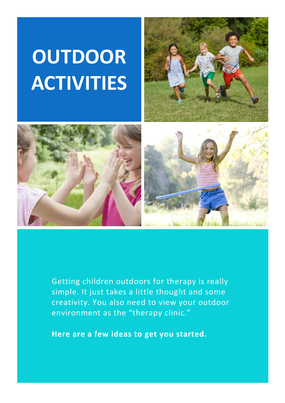# **OUTDOOR ACTIVITIES**





Getting children outdoors for therapy is really simple. It just takes a little thought and some creativity. You also need to view your outdoor environment as the "therapy clinic."

**Here are a few ideas to get you started.**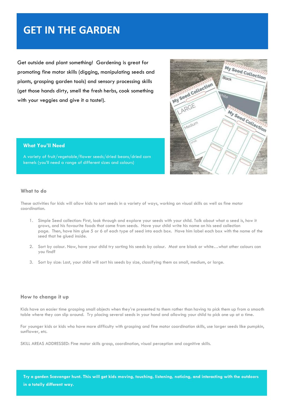### **GET IN THE GARDEN**

Get outside and plant something! Gardening is great for promoting fine motor skills (digging, manipulating seeds and plants, grasping garden tools) and sensory processing skills (get those hands dirty, smell the fresh herbs, cook something with your veggies and give it a taste!).



#### **What You'll Need**

A variety of fruit/vegetable/flower seeds/dried beans/dried corn kernels (you'll need a range of different sizes and colours)

#### **What to do**

These activities for kids will allow kids to sort seeds in a variety of ways, working on visual skills as well as fine motor coordination.

- 1. Simple Seed collection: First, look through and explore your seeds with your child. Talk about what a seed is, how it grows, and his favourite foods that come from seeds. Have your child write his name on his seed collection page.Then, have him glue 5 or 6 of each type of seed into each box. Have him label each box with the name of the seed that he glued inside.
- 2. Sort by colour. Now, have your child try sorting his seeds by colour. Most are black or white…what other colours can you find?
- 3. Sort by size: Last, your child will sort his seeds by size, classifying them as small, medium, or large.

#### **How to change it up**

Kids have an easier time grasping small objects when they're presented to them rather than having to pick them up from a smooth table where they can slip around. Try placing several seeds in your hand and allowing your child to pick one up at a time.

For younger kids or kids who have more difficulty with grasping and fine motor coordination skills, use larger seeds like pumpkin, sunflower, etc.

SKILL AREAS ADDRESSED: Fine motor skills grasp, coordination, visual perception and cognitive skills.

**Try a garden Scavenger hunt. This will get kids moving, touching, listening, noticing, and interacting with the outdoors in a totally different way.**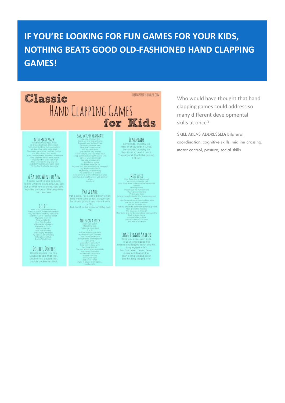## **IF YOU'RE LOOKING FOR FUN GAMES FOR YOUR KIDS, NOTHING BEATS GOOD OLD-FASHIONED HAND CLAPPING GAMES!**

### THE LINSPERED VREEHOUSE COM-Classic HAND CLAPPING GAMES for Kids

SAY, SAY, OH PLAYMATE

Say, jour of play with me<br>Science out your dolled three<br>Science out your dolled three<br>Slide clave my apple their<br>Slide clave my cambov<br>Into my celled door

Side down my rombor<br>hold we'll be joby friends<br>And we'll be joby friends<br>covernors, and two liness fouri<br>buth hands straight across with<br>partner when counting)

PAT A CAKE

I AT A LAIN.<br>Fat a cake, hat a cake, baker's man<br>Bake me a colke as fast as you can;<br>Pat it and prick it and mark it with<br>And put it in the over for Baby and<br>me;

APPLES ON A STICK Apples on a trick<br>Makes my beart bout<br>Makes my beart bout a di G.<br>Johnson work with the because worker clean<br>Johnson with the magazine boy before the magazine

 $\begin{array}{l} \text{conv. DSSM} \text{ of the 100~M\,s} \\ \text{out. DSSM} \text{ of the 100~M\,s} \\ \text{of the 100~M\,s} \\ \text{in the 100~M\,s} \\ \text{in the 100~M\,s} \\ \text{in the 100~M\,s} \\ \text{in the 100~M\,s} \\ \text{in the 100~M\,s} \\ \text{in the 100~M\,s} \\ \text{in the 100~M\,s} \\ \text{in the 100~M\,s} \\ \text{in the 100~M\,s} \\ \text{$ 

#### MISS MARY MACK

the Mary Mack, Mack, Mack<br>drassed in Black, Black, Blac<br>siter buttons, buttons, but<br>C down for back, back, back<br>deal for mather, muther, m to using the mother, multion, multion<br>a Tor Hilly centric, comics, comic is alignized as a support of the dispersion<br>as the alignization, electrons, tensor, there is the play over the free<br>one, tensor is the play in the pl

### A SAILOR WENT TO SEA

A sailor went to sea, sea, sea,<br>see what he could see, see, see<br>t all that he could see, see, see<br>os the bottom of the deep blue<br>sea, sea, sea,

 $\begin{bmatrix} -1 & -1 \\ 0 & 0 \end{bmatrix} = \begin{bmatrix} -1 & -1 \\ 0 & 0 \end{bmatrix}$  and of the send trial regulator<br>of the send trial regulators of the send trial send regulators<br>on select 1 and send and send and<br>y norme is  $E^{-1}E^{-1}$ .

#### DOUBLE, DOUBLE

Double double this this,<br>Daoble double that that<br>Daoble this, double that<br>Double double this that

Lemonade, crunchy ice<br>lead if once, beat if twice.<br>Lemonade, crunchy ice<br>lead if once, beat if twice.<br>Turn around, touch the ground<br>FREEZE

## MISS SUSTE<br>Main Suze had a steambor<br>The steamboot had a bell<br>can want to heaven The ste

LEMONADE

when the refrequency of the set of the set of the set of the set of the set of the set of the set of the set of the set of the set of the set of the set of the set of the set of the set of the set of the set of the set of

#### LONG LEGGED SAILOR

From Europe and the property of the state and the state and the local control of the state of the state of the state of the state of the state of the state of the state of the state of the state of the state of the state o

Who would have thought that hand clapping games could address so many different developmental skills at once?

SKILL AREAS ADDRESSED: Bilateral coordination, cognitive skills, midline crossing, motor control, posture, social skills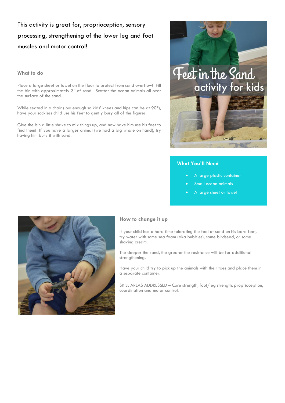This activity is great for, proprioception, sensory processing, strengthening of the lower leg and foot muscles and motor control!

#### **What to do**

Place a large sheet or towel on the floor to protect from sand overflow! Fill the bin with approximately 3" of sand. Scatter the ocean animals all over the surface of the sand.

While seated in a chair (low enough so kids' knees and hips can be at 90\*), have your sockless child use his feet to gently bury all of the figures.

Give the bin a little shake to mix things up, and now have him use his feet to find them! If you have a larger animal (we had a big whale on hand), try having him bury it with sand.



#### **What You'll Need**

- A large plastic container
- Small ocean animals
- A large sheet or towel



#### **How to change it up**

If your child has a hard time tolerating the feel of sand on his bare feet, try water with some sea foam (aka bubbles), some birdseed, or some shaving cream.

The deeper the sand, the greater the resistance will be for additional strengthening.

Have your child try to pick up the animals with their toes and place them in a separate container.

SKILL AREAS ADDRESSED – Core strength, foot/leg strength, proprioception, coordination and motor control.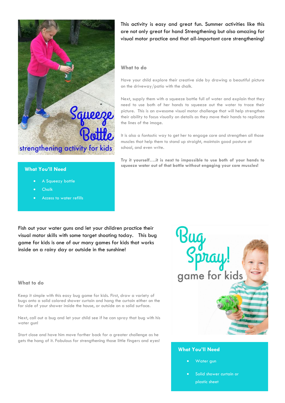

This activity is easy and great fun. Summer activities like this are not only great for hand Strengthening but also amazing for visual motor practice and that all-important core strengthening!

#### **What to do**

Have your child explore their creative side by drawing a beautiful picture on the driveway/patio with the chalk.

Next, supply them with a squeeze bottle full of water and explain that they need to use both of her hands to squeeze out the water to trace their picture. This is an awesome visual motor challenge that will help strengthen their ability to focus visually on details as they move their hands to replicate the lines of the image.

It is also a *fantastic* way to get her to engage core and strengthen all those muscles that help them to stand up straight, maintain good posture at school, and even write.

**Try it yourself….it is next to impossible to use both of your hands to squeeze water out of that bottle without engaging your core muscles!** 

#### **What You'll Need**

- A Squeezy bottle
- Chalk
- Access to water refills

Fish out your water guns and let your children practice their visual motor skills with some target shooting today. This bug game for kids is one of our many games for kids that works inside on a rainy day or outside in the sunshine!

#### **What to do**

Keep it simple with this easy bug game for kids. First, draw a variety of bugs onto a solid colored shower curtain and hang the curtain either on the far side of your shower inside the house, or outside on a solid surface.

Next, call out a bug and let your child see if he can spray that bug with his water gun!

Start close and have him move farther back for a greater challenge as he gets the hang of it. Fabulous for strengthening those little fingers and eyes!



#### **What You'll Need**

- Water gun
- Solid shower curtain or plastic sheet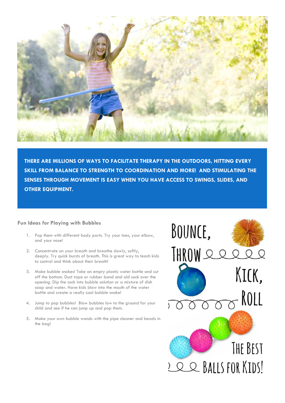

**THERE ARE MILLIONS OF WAYS TO FACILITATE THERAPY IN THE OUTDOORS, HITTING EVERY SKILL FROM BALANCE TO STRENGTH TO COORDINATION AND MORE! AND STIMULATING THE SENSES THROUGH MOVEMENT IS EASY WHEN YOU HAVE ACCESS TO SWINGS, SLIDES, AND OTHER EQUIPMENT.**

#### **Fun Ideas for Playing with Bubbles**

- 1. Pop them with different body parts. Try your toes, your elbow, and your nose!
- Some of the output of the slowly, softly,  $\frac{1}{2}$  concentrate on your breath and breath  $\frac{1}{2}$  concentrate slowly, softly, deeply. Try quick bursts of breath. This is great way to teach kids to control and think about their breath!
	- 3. Make bubble snakes! Take an empty plastic water bottle and cut off the bottom. Duct tape or rubber band and old sock over the opening. Dip the sock into bubble solution or a mixture of dish soap and water. Have kids blow into the mouth of the water bottle and create a really cool bubble snake!
	- 4. Jump to pop bubbles! Blow bubbles low to the ground for your child and see if he can jump up and pop them.
	- 5. Make your own bubble wands with the pipe cleaner and beads in the bag!